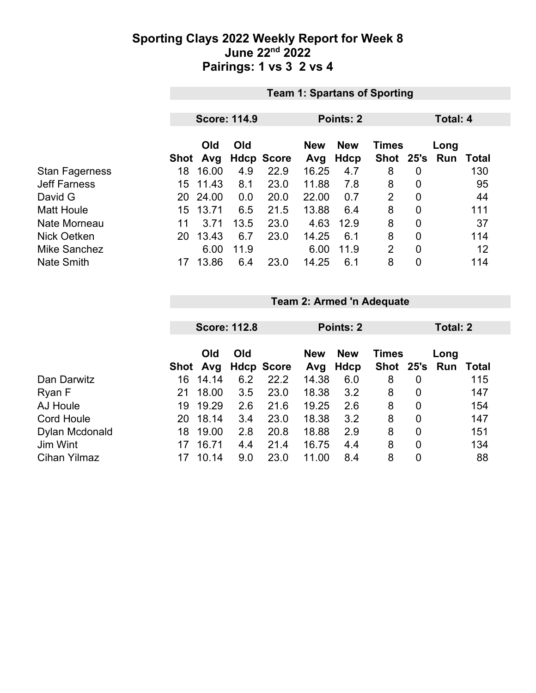### **Sporting Clays 2022 Weekly Report for Week 8 June 22nd 2022 Pairings: 1 vs 3 2 vs 4**

|                       | <b>Team 1: Spartans of Sporting</b> |                     |      |                   |            |             |                 |                |      |       |
|-----------------------|-------------------------------------|---------------------|------|-------------------|------------|-------------|-----------------|----------------|------|-------|
|                       |                                     |                     |      |                   |            |             |                 |                |      |       |
|                       |                                     | <b>Score: 114.9</b> |      |                   |            | Points: 2   | <b>Total: 4</b> |                |      |       |
|                       |                                     |                     |      |                   |            |             |                 |                |      |       |
|                       |                                     | Old                 | Old  |                   | <b>New</b> | <b>New</b>  | <b>Times</b>    |                | Long |       |
|                       | Shot                                | Avg                 |      | <b>Hdcp Score</b> | Avg        | <b>Hdcp</b> | Shot 25's       |                | Run  | Total |
| <b>Stan Fagerness</b> | 18                                  | 16.00               | 4.9  | 22.9              | 16.25      | 4.7         | 8               | 0              |      | 130   |
| <b>Jeff Farness</b>   | 15                                  | 11.43               | 8.1  | 23.0              | 11.88      | 7.8         | 8               | $\overline{0}$ |      | 95    |
| David G               | 20                                  | 24.00               | 0.0  | 20.0              | 22.00      | 0.7         | 2               | $\overline{0}$ |      | 44    |
| <b>Matt Houle</b>     | 15                                  | 13.71               | 6.5  | 21.5              | 13.88      | 6.4         | 8               | $\mathbf 0$    |      | 111   |
| Nate Morneau          | 11                                  | 3.71                | 13.5 | 23.0              | 4.63       | 12.9        | 8               | $\mathbf 0$    |      | 37    |
| <b>Nick Oetken</b>    | 20                                  | 13.43               | 6.7  | 23.0              | 14.25      | 6.1         | 8               | $\overline{0}$ |      | 114   |
| Mike Sanchez          |                                     | 6.00                | 11.9 |                   | 6.00       | 11.9        | $\overline{2}$  | $\mathbf 0$    |      | 12    |
| <b>Nate Smith</b>     |                                     | 13.86               | 6.4  | 23.0              | 14.25      | 6.1         | 8               | $\overline{0}$ |      | 114   |

## **Team 2: Armed 'n Adequate**

|                     |    | <b>Score: 112.8</b> |     |                   | Points: 2         |                    |              | Total: 2       |                       |              |
|---------------------|----|---------------------|-----|-------------------|-------------------|--------------------|--------------|----------------|-----------------------|--------------|
|                     |    | Old<br>Shot Avg     | Old | <b>Hdcp Score</b> | <b>New</b><br>Avg | <b>New</b><br>Hdcp | <b>Times</b> |                | Long<br>Shot 25's Run | <b>Total</b> |
| Dan Darwitz         | 16 | 14.14               | 6.2 | 22.2              | 14.38             | 6.0                | 8            | 0              |                       | 115          |
| Ryan F              | 21 | 18.00               | 3.5 | 23.0              | 18.38             | 3.2                | 8            | 0              |                       | 147          |
| AJ Houle            | 19 | 19.29               | 2.6 | 21.6              | 19.25             | 2.6                | 8            | 0              |                       | 154          |
| <b>Cord Houle</b>   | 20 | 18.14               | 3.4 | 23.0              | 18.38             | 3.2                | 8            | $\overline{0}$ |                       | 147          |
| Dylan Mcdonald      | 18 | 19.00               | 2.8 | 20.8              | 18.88             | 2.9                | 8            | $\overline{0}$ |                       | 151          |
| Jim Wint            | 17 | 16.71               | 4.4 | 21.4              | 16.75             | 4.4                | 8            | 0              |                       | 134          |
| <b>Cihan Yilmaz</b> | 17 | 10.14               | 9.0 | 23.0              | 11.00             | 8.4                | 8            | 0              |                       | 88           |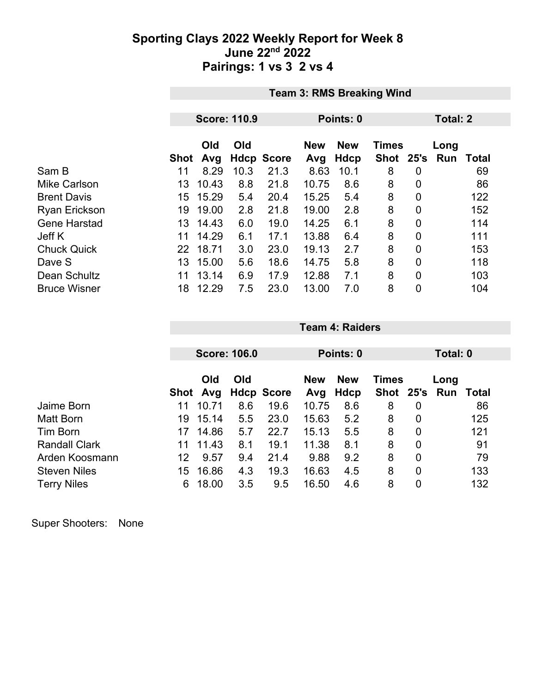### **Sporting Clays 2022 Weekly Report for Week 8 June 22nd 2022 Pairings: 1 vs 3 2 vs 4**

|                      | <b>Team 3: RMS Breaking Wind</b> |                     |      |                   |                   |                    |                           |                |             |       |
|----------------------|----------------------------------|---------------------|------|-------------------|-------------------|--------------------|---------------------------|----------------|-------------|-------|
|                      |                                  |                     |      |                   |                   |                    |                           |                |             |       |
|                      |                                  | <b>Score: 110.9</b> |      |                   |                   | Points: 0          | Total: 2                  |                |             |       |
|                      | Shot                             | Old<br>Avg          | Old  | <b>Hdcp Score</b> | <b>New</b><br>Avg | <b>New</b><br>Hdcp | <b>Times</b><br>Shot 25's |                | Long<br>Run | Total |
| Sam B                | 11                               | 8.29                | 10.3 | 21.3              | 8.63              | 10.1               | 8                         | 0              |             | 69    |
| <b>Mike Carlson</b>  | 13                               | 10.43               | 8.8  | 21.8              | 10.75             | 8.6                | 8                         | 0              |             | 86    |
| <b>Brent Davis</b>   | 15                               | 15.29               | 5.4  | 20.4              | 15.25             | 5.4                | 8                         | 0              |             | 122   |
| <b>Ryan Erickson</b> | 19                               | 19.00               | 2.8  | 21.8              | 19.00             | 2.8                | 8                         | 0              |             | 152   |
| <b>Gene Harstad</b>  | 13                               | 14.43               | 6.0  | 19.0              | 14.25             | 6.1                | 8                         | 0              |             | 114   |
| Jeff K               | 11                               | 14.29               | 6.1  | 17.1              | 13.88             | 6.4                | 8                         | 0              |             | 111   |
| <b>Chuck Quick</b>   | 22 <sub>2</sub>                  | 18.71               | 3.0  | 23.0              | 19.13             | 2.7                | 8                         | 0              |             | 153   |
| Dave S               | 13                               | 15.00               | 5.6  | 18.6              | 14.75             | 5.8                | 8                         | $\overline{0}$ |             | 118   |
| Dean Schultz         | 11                               | 13.14               | 6.9  | 17.9              | 12.88             | 7.1                | 8                         | 0              |             | 103   |
| <b>Bruce Wisner</b>  | 18                               | 12.29               | 7.5  | 23.0              | 13.00             | 7.0                | 8                         | 0              |             | 104   |

|                      |      | <b>Score: 106.0</b> |     |                   |            | Points: 0   |              |             |      | Total: 0 |  |
|----------------------|------|---------------------|-----|-------------------|------------|-------------|--------------|-------------|------|----------|--|
|                      |      |                     |     |                   |            |             |              |             |      |          |  |
|                      |      | Old<br>Old          |     |                   | <b>New</b> | <b>New</b>  | <b>Times</b> |             | Long |          |  |
|                      | Shot | Avg                 |     | <b>Hdcp Score</b> | Avg        | <b>Hdcp</b> | Shot 25's    |             | Run  | Total    |  |
| Jaime Born           | 11   | 10.71               | 8.6 | 19.6              | 10.75      | 8.6         | 8            | 0           |      | 86       |  |
| Matt Born            | 19   | 15.14               | 5.5 | 23.0              | 15.63      | 5.2         | 8            | 0           |      | 125      |  |
| <b>Tim Born</b>      | 17   | 14.86               | 5.7 | 22.7              | 15.13      | 5.5         | 8            | $\mathbf 0$ |      | 121      |  |
| <b>Randall Clark</b> | 11   | 11.43               | 8.1 | 19.1              | 11.38      | 8.1         | 8            | $\mathbf 0$ |      | 91       |  |
| Arden Koosmann       | 12   | 9.57                | 9.4 | 21.4              | 9.88       | 9.2         | 8            | $\mathbf 0$ |      | 79       |  |
| <b>Steven Niles</b>  | 15   | 16.86               | 4.3 | 19.3              | 16.63      | 4.5         | 8            | 0           |      | 133      |  |
| <b>Terry Niles</b>   | 6    | 18.00               | 3.5 | 9.5               | 16.50      | 4.6         | 8            | 0           |      | 132      |  |

**Team 4: Raiders**

Super Shooters: None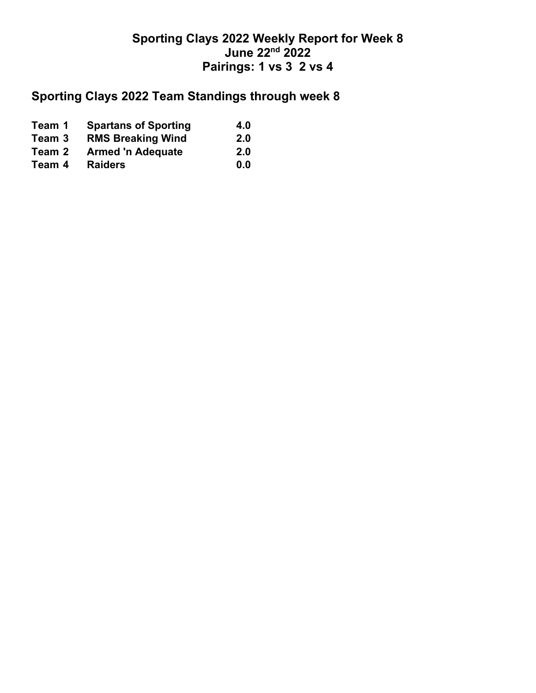## **Sporting Clays 2022 Weekly Report for Week 8 June 22nd 2022 Pairings: 1 vs 3 2 vs 4**

# **Sporting Clays 2022 Team Standings through week 8**

| Team 1 | <b>Spartans of Sporting</b> | 4.0        |
|--------|-----------------------------|------------|
| Team 3 | <b>RMS Breaking Wind</b>    | <b>2.0</b> |
| Team 2 | <b>Armed 'n Adequate</b>    | <b>2.0</b> |
| Team 4 | <b>Raiders</b>              | 0.0        |